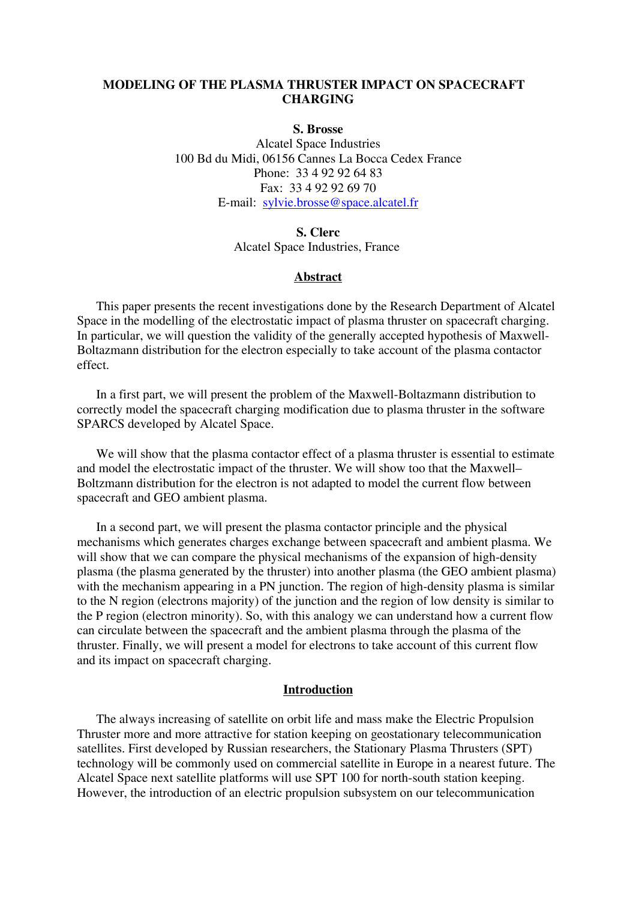### **MODELING OF THE PLASMA THRUSTER IMPACT ON SPACECRAFT CHARGING**

### **S. Brosse**

Alcatel Space Industries 100 Bd du Midi, 06156 Cannes La Bocca Cedex France Phone: 33 4 92 92 64 83 Fax: 33 4 92 92 69 70 E-mail: [sylvie.brosse@space.alcatel.fr](mailto:sylvie.brosse@space.alcatel.fr)

#### **S. Clerc**

Alcatel Space Industries, France

### **Abstract**

This paper presents the recent investigations done by the Research Department of Alcatel Space in the modelling of the electrostatic impact of plasma thruster on spacecraft charging. In particular, we will question the validity of the generally accepted hypothesis of Maxwell-Boltazmann distribution for the electron especially to take account of the plasma contactor effect.

In a first part, we will present the problem of the Maxwell-Boltazmann distribution to correctly model the spacecraft charging modification due to plasma thruster in the software SPARCS developed by Alcatel Space.

We will show that the plasma contactor effect of a plasma thruster is essential to estimate and model the electrostatic impact of the thruster. We will show too that the Maxwell– Boltzmann distribution for the electron is not adapted to model the current flow between spacecraft and GEO ambient plasma.

In a second part, we will present the plasma contactor principle and the physical mechanisms which generates charges exchange between spacecraft and ambient plasma. We will show that we can compare the physical mechanisms of the expansion of high-density plasma (the plasma generated by the thruster) into another plasma (the GEO ambient plasma) with the mechanism appearing in a PN junction. The region of high-density plasma is similar to the N region (electrons majority) of the junction and the region of low density is similar to the P region (electron minority). So, with this analogy we can understand how a current flow can circulate between the spacecraft and the ambient plasma through the plasma of the thruster. Finally, we will present a model for electrons to take account of this current flow and its impact on spacecraft charging.

#### **Introduction**

The always increasing of satellite on orbit life and mass make the Electric Propulsion Thruster more and more attractive for station keeping on geostationary telecommunication satellites. First developed by Russian researchers, the Stationary Plasma Thrusters (SPT) technology will be commonly used on commercial satellite in Europe in a nearest future. The Alcatel Space next satellite platforms will use SPT 100 for north-south station keeping. However, the introduction of an electric propulsion subsystem on our telecommunication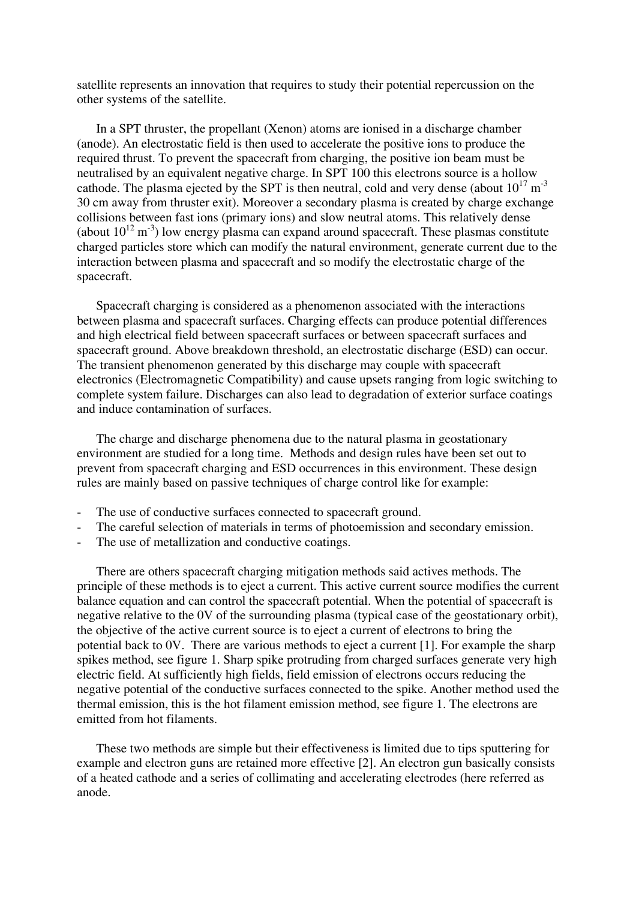satellite represents an innovation that requires to study their potential repercussion on the other systems of the satellite.

In a SPT thruster, the propellant (Xenon) atoms are ionised in a discharge chamber (anode). An electrostatic field is then used to accelerate the positive ions to produce the required thrust. To prevent the spacecraft from charging, the positive ion beam must be neutralised by an equivalent negative charge. In SPT 100 this electrons source is a hollow cathode. The plasma ejected by the SPT is then neutral, cold and very dense (about  $10^{17}$  m<sup>-3</sup> 30 cm away from thruster exit). Moreover a secondary plasma is created by charge exchange collisions between fast ions (primary ions) and slow neutral atoms. This relatively dense (about  $10^{12}$  m<sup>-3</sup>) low energy plasma can expand around spacecraft. These plasmas constitute charged particles store which can modify the natural environment, generate current due to the interaction between plasma and spacecraft and so modify the electrostatic charge of the spacecraft.

Spacecraft charging is considered as a phenomenon associated with the interactions between plasma and spacecraft surfaces. Charging effects can produce potential differences and high electrical field between spacecraft surfaces or between spacecraft surfaces and spacecraft ground. Above breakdown threshold, an electrostatic discharge (ESD) can occur. The transient phenomenon generated by this discharge may couple with spacecraft electronics (Electromagnetic Compatibility) and cause upsets ranging from logic switching to complete system failure. Discharges can also lead to degradation of exterior surface coatings and induce contamination of surfaces.

The charge and discharge phenomena due to the natural plasma in geostationary environment are studied for a long time. Methods and design rules have been set out to prevent from spacecraft charging and ESD occurrences in this environment. These design rules are mainly based on passive techniques of charge control like for example:

- The use of conductive surfaces connected to spacecraft ground.
- The careful selection of materials in terms of photoemission and secondary emission.
- The use of metallization and conductive coatings.

There are others spacecraft charging mitigation methods said actives methods. The principle of these methods is to eject a current. This active current source modifies the current balance equation and can control the spacecraft potential. When the potential of spacecraft is negative relative to the 0V of the surrounding plasma (typical case of the geostationary orbit), the objective of the active current source is to eject a current of electrons to bring the potential back to 0V. There are various methods to eject a current [1]. For example the sharp spikes method, see figure 1. Sharp spike protruding from charged surfaces generate very high electric field. At sufficiently high fields, field emission of electrons occurs reducing the negative potential of the conductive surfaces connected to the spike. Another method used the thermal emission, this is the hot filament emission method, see figure 1. The electrons are emitted from hot filaments.

These two methods are simple but their effectiveness is limited due to tips sputtering for example and electron guns are retained more effective [2]. An electron gun basically consists of a heated cathode and a series of collimating and accelerating electrodes (here referred as anode.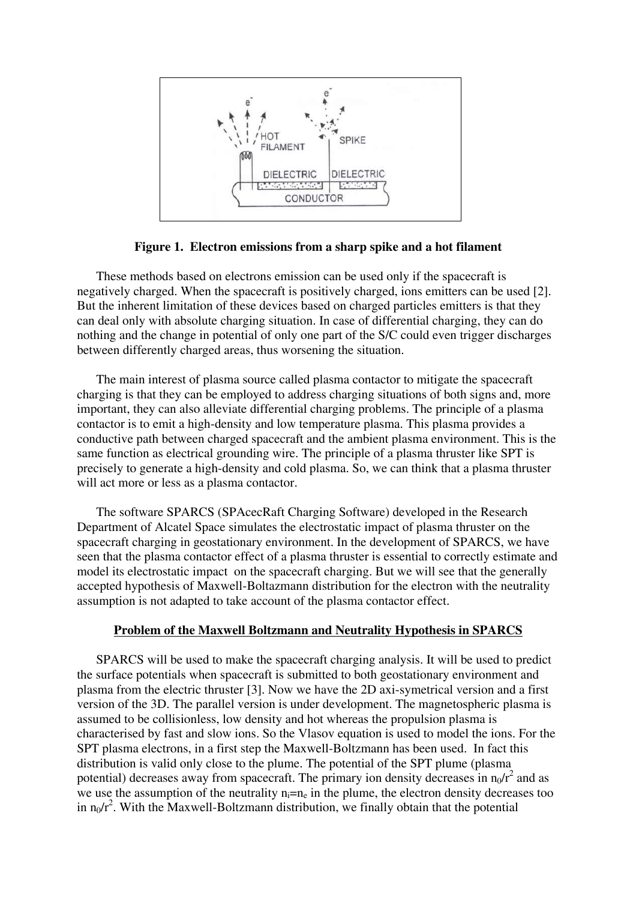

**Figure 1. Electron emissions from a sharp spike and a hot filament** 

These methods based on electrons emission can be used only if the spacecraft is negatively charged. When the spacecraft is positively charged, ions emitters can be used [2]. But the inherent limitation of these devices based on charged particles emitters is that they can deal only with absolute charging situation. In case of differential charging, they can do nothing and the change in potential of only one part of the S/C could even trigger discharges between differently charged areas, thus worsening the situation.

The main interest of plasma source called plasma contactor to mitigate the spacecraft charging is that they can be employed to address charging situations of both signs and, more important, they can also alleviate differential charging problems. The principle of a plasma contactor is to emit a high-density and low temperature plasma. This plasma provides a conductive path between charged spacecraft and the ambient plasma environment. This is the same function as electrical grounding wire. The principle of a plasma thruster like SPT is precisely to generate a high-density and cold plasma. So, we can think that a plasma thruster will act more or less as a plasma contactor.

The software SPARCS (SPAcecRaft Charging Software) developed in the Research Department of Alcatel Space simulates the electrostatic impact of plasma thruster on the spacecraft charging in geostationary environment. In the development of SPARCS, we have seen that the plasma contactor effect of a plasma thruster is essential to correctly estimate and model its electrostatic impact on the spacecraft charging. But we will see that the generally accepted hypothesis of Maxwell-Boltazmann distribution for the electron with the neutrality assumption is not adapted to take account of the plasma contactor effect.

## **Problem of the Maxwell Boltzmann and Neutrality Hypothesis in SPARCS**

SPARCS will be used to make the spacecraft charging analysis. It will be used to predict the surface potentials when spacecraft is submitted to both geostationary environment and plasma from the electric thruster [3]. Now we have the 2D axi-symetrical version and a first version of the 3D. The parallel version is under development. The magnetospheric plasma is assumed to be collisionless, low density and hot whereas the propulsion plasma is characterised by fast and slow ions. So the Vlasov equation is used to model the ions. For the SPT plasma electrons, in a first step the Maxwell-Boltzmann has been used. In fact this distribution is valid only close to the plume. The potential of the SPT plume (plasma potential) decreases away from spacecraft. The primary ion density decreases in  $n_0/r^2$  and as we use the assumption of the neutrality  $n_i = n_e$  in the plume, the electron density decreases too in  $n_0/r^2$ . With the Maxwell-Boltzmann distribution, we finally obtain that the potential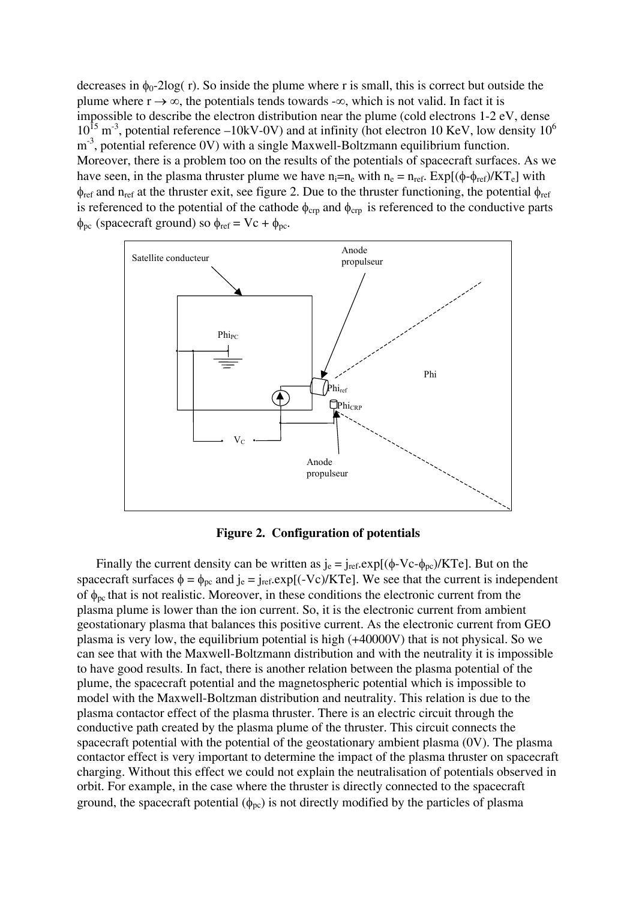decreases in  $\phi_0$ -2log( r). So inside the plume where r is small, this is correct but outside the plume where  $r \rightarrow \infty$ , the potentials tends towards - $\infty$ , which is not valid. In fact it is impossible to describe the electron distribution near the plume (cold electrons 1-2 eV, dense  $10^{15}$  m<sup>-3</sup>, potential reference –10kV-0V) and at infinity (hot electron 10 KeV, low density  $10^6$  $m<sup>-3</sup>$ , potential reference 0V) with a single Maxwell-Boltzmann equilibrium function. Moreover, there is a problem too on the results of the potentials of spacecraft surfaces. As we have seen, in the plasma thruster plume we have  $n_i=n_e$  with  $n_e = n_{ref}$ . Exp[( $\phi$ - $\phi_{ref}$ )/KT<sub>e</sub>] with  $\phi_{ref}$  and n<sub>ref</sub> at the thruster exit, see figure 2. Due to the thruster functioning, the potential  $\phi_{ref}$ is referenced to the potential of the cathode  $\phi_{crp}$  and  $\phi_{crp}$  is referenced to the conductive parts φ<sub>pc</sub> (spacecraft ground) so  $φ_{ref} = Vc + φ_{pc}$ .



**Figure 2. Configuration of potentials** 

Finally the current density can be written as  $j_e = j_{ref} \exp[(\phi - V_c - \phi_{pc})/KT_e]$ . But on the spacecraft surfaces  $\phi = \phi_{\text{pc}}$  and  $j_e = j_{\text{ref}}.\exp[(-V_c)/KT_e]$ . We see that the current is independent of  $\phi_{\text{pc}}$  that is not realistic. Moreover, in these conditions the electronic current from the plasma plume is lower than the ion current. So, it is the electronic current from ambient geostationary plasma that balances this positive current. As the electronic current from GEO plasma is very low, the equilibrium potential is high (+40000V) that is not physical. So we can see that with the Maxwell-Boltzmann distribution and with the neutrality it is impossible to have good results. In fact, there is another relation between the plasma potential of the plume, the spacecraft potential and the magnetospheric potential which is impossible to model with the Maxwell-Boltzman distribution and neutrality. This relation is due to the plasma contactor effect of the plasma thruster. There is an electric circuit through the conductive path created by the plasma plume of the thruster. This circuit connects the spacecraft potential with the potential of the geostationary ambient plasma (0V). The plasma contactor effect is very important to determine the impact of the plasma thruster on spacecraft charging. Without this effect we could not explain the neutralisation of potentials observed in orbit. For example, in the case where the thruster is directly connected to the spacecraft ground, the spacecraft potential  $(\phi_{nc})$  is not directly modified by the particles of plasma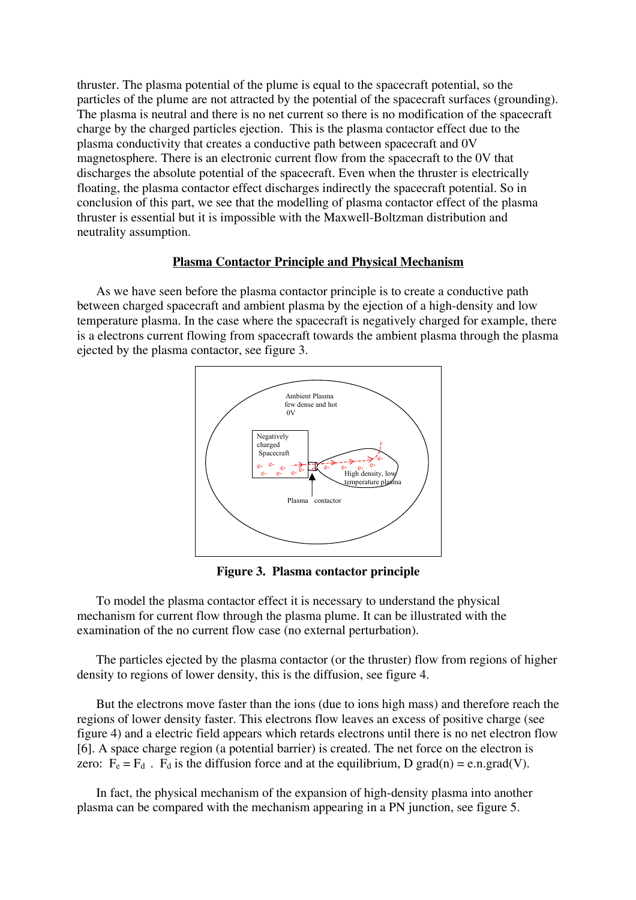thruster. The plasma potential of the plume is equal to the spacecraft potential, so the particles of the plume are not attracted by the potential of the spacecraft surfaces (grounding). The plasma is neutral and there is no net current so there is no modification of the spacecraft charge by the charged particles ejection. This is the plasma contactor effect due to the plasma conductivity that creates a conductive path between spacecraft and 0V magnetosphere. There is an electronic current flow from the spacecraft to the 0V that discharges the absolute potential of the spacecraft. Even when the thruster is electrically floating, the plasma contactor effect discharges indirectly the spacecraft potential. So in conclusion of this part, we see that the modelling of plasma contactor effect of the plasma thruster is essential but it is impossible with the Maxwell-Boltzman distribution and neutrality assumption.

#### **Plasma Contactor Principle and Physical Mechanism**

As we have seen before the plasma contactor principle is to create a conductive path between charged spacecraft and ambient plasma by the ejection of a high-density and low temperature plasma. In the case where the spacecraft is negatively charged for example, there is a electrons current flowing from spacecraft towards the ambient plasma through the plasma ejected by the plasma contactor, see figure 3.



**Figure 3. Plasma contactor principle** 

To model the plasma contactor effect it is necessary to understand the physical mechanism for current flow through the plasma plume. It can be illustrated with the examination of the no current flow case (no external perturbation).

The particles ejected by the plasma contactor (or the thruster) flow from regions of higher density to regions of lower density, this is the diffusion, see figure 4.

But the electrons move faster than the ions (due to ions high mass) and therefore reach the regions of lower density faster. This electrons flow leaves an excess of positive charge (see figure 4) and a electric field appears which retards electrons until there is no net electron flow [6]. A space charge region (a potential barrier) is created. The net force on the electron is zero:  $F_e = F_d$ .  $F_d$  is the diffusion force and at the equilibrium, D grad(n) = e.n.grad(V).

In fact, the physical mechanism of the expansion of high-density plasma into another plasma can be compared with the mechanism appearing in a PN junction, see figure 5.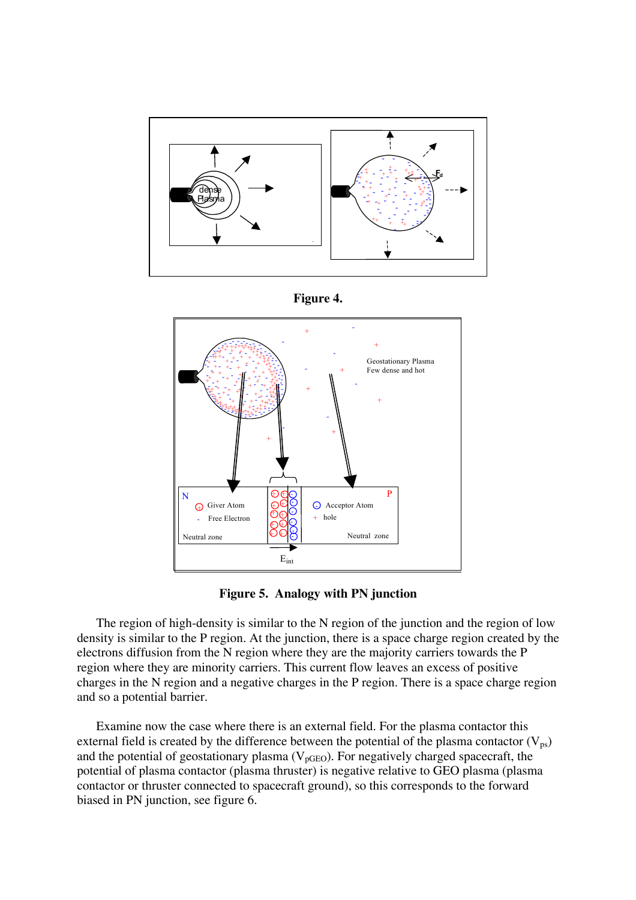





**Figure 5. Analogy with PN junction** 

The region of high-density is similar to the N region of the junction and the region of low density is similar to the P region. At the junction, there is a space charge region created by the electrons diffusion from the N region where they are the majority carriers towards the P region where they are minority carriers. This current flow leaves an excess of positive charges in the N region and a negative charges in the P region. There is a space charge region and so a potential barrier.

Examine now the case where there is an external field. For the plasma contactor this external field is created by the difference between the potential of the plasma contactor  $(V_{ps})$ and the potential of geostationary plasma  $(V_{pGEO})$ . For negatively charged spacecraft, the potential of plasma contactor (plasma thruster) is negative relative to GEO plasma (plasma contactor or thruster connected to spacecraft ground), so this corresponds to the forward biased in PN junction, see figure 6.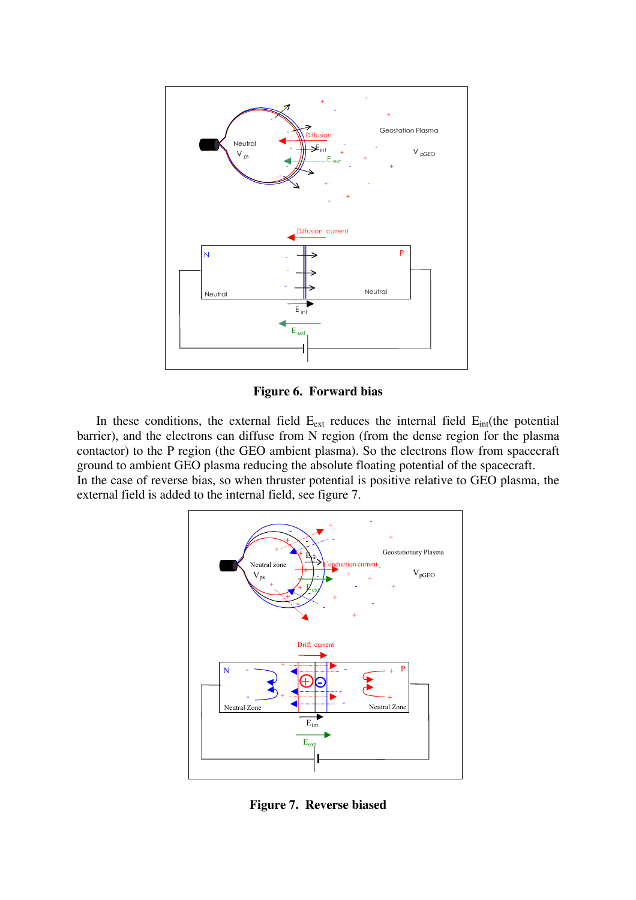

**Figure 6. Forward bias** 

In these conditions, the external field  $E_{ext}$  reduces the internal field  $E_{int}$ (the potential barrier), and the electrons can diffuse from N region (from the dense region for the plasma contactor) to the P region (the GEO ambient plasma). So the electrons flow from spacecraft ground to ambient GEO plasma reducing the absolute floating potential of the spacecraft. In the case of reverse bias, so when thruster potential is positive relative to GEO plasma, the external field is added to the internal field, see figure 7.



**Figure 7. Reverse biased**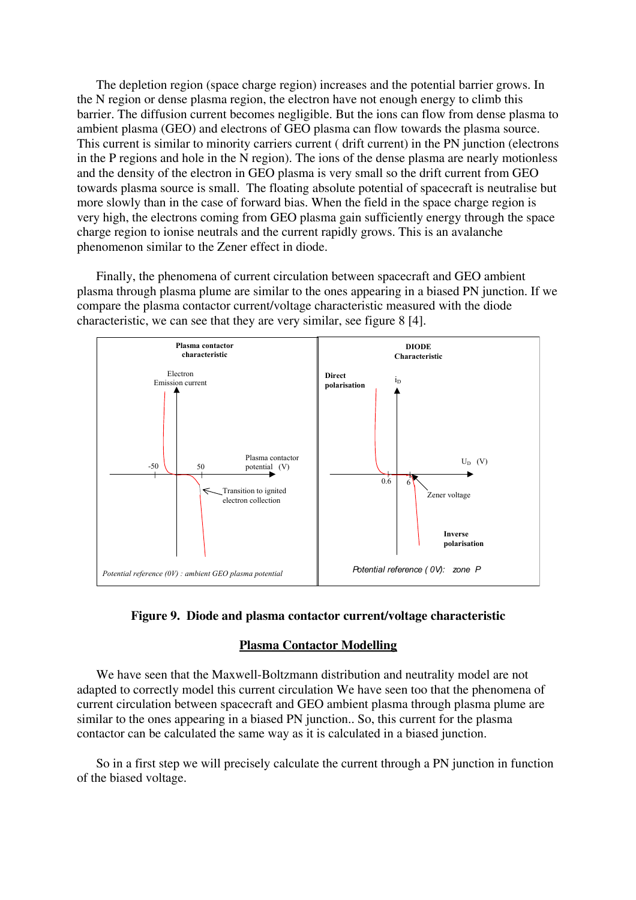The depletion region (space charge region) increases and the potential barrier grows. In the N region or dense plasma region, the electron have not enough energy to climb this barrier. The diffusion current becomes negligible. But the ions can flow from dense plasma to ambient plasma (GEO) and electrons of GEO plasma can flow towards the plasma source. This current is similar to minority carriers current ( drift current) in the PN junction (electrons in the P regions and hole in the N region). The ions of the dense plasma are nearly motionless and the density of the electron in GEO plasma is very small so the drift current from GEO towards plasma source is small. The floating absolute potential of spacecraft is neutralise but more slowly than in the case of forward bias. When the field in the space charge region is very high, the electrons coming from GEO plasma gain sufficiently energy through the space charge region to ionise neutrals and the current rapidly grows. This is an avalanche phenomenon similar to the Zener effect in diode.

Finally, the phenomena of current circulation between spacecraft and GEO ambient plasma through plasma plume are similar to the ones appearing in a biased PN junction. If we compare the plasma contactor current/voltage characteristic measured with the diode characteristic, we can see that they are very similar, see figure 8 [4].





## **Plasma Contactor Modelling**

We have seen that the Maxwell-Boltzmann distribution and neutrality model are not adapted to correctly model this current circulation We have seen too that the phenomena of current circulation between spacecraft and GEO ambient plasma through plasma plume are similar to the ones appearing in a biased PN junction.. So, this current for the plasma contactor can be calculated the same way as it is calculated in a biased junction.

So in a first step we will precisely calculate the current through a PN junction in function of the biased voltage.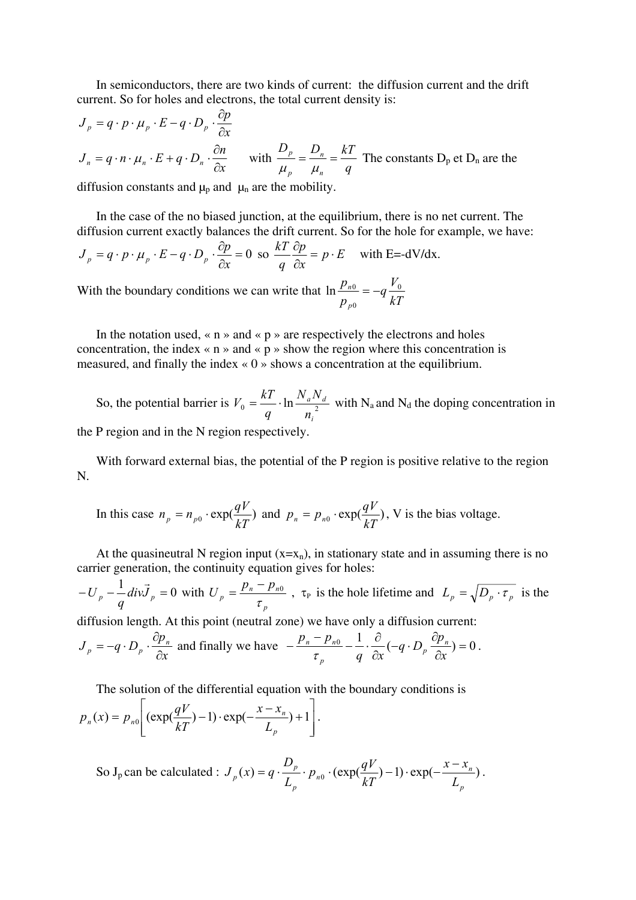In semiconductors, there are two kinds of current: the diffusion current and the drift current. So for holes and electrons, the total current density is:

$$
J_p = q \cdot p \cdot \mu_p \cdot E - q \cdot D_p \cdot \frac{\partial p}{\partial x}
$$
  

$$
J_n = q \cdot n \cdot \mu_n \cdot E + q \cdot D_n \cdot \frac{\partial n}{\partial x} \quad \text{with } \frac{D_p}{\mu_p} = \frac{D_n}{\mu_n} = \frac{kT}{q} \text{ The constants } D_p \text{ et } D_n \text{ are the}
$$

diffusion constants and  $\mu_p$  and  $\mu_n$  are the mobility.

In the case of the no biased junction, at the equilibrium, there is no net current. The diffusion current exactly balances the drift current. So for the hole for example, we have:

$$
J_p = q \cdot p \cdot \mu_p \cdot E - q \cdot D_p \cdot \frac{\partial p}{\partial x} = 0 \text{ so } \frac{kT}{q} \frac{\partial p}{\partial x} = p \cdot E \quad \text{with } E = -dV/dx.
$$

With the boundary conditions we can write that *kT*  $q \frac{V}{I}$ *p p p*  $n^0$   $\alpha$   $\alpha$ 0  $\ln \frac{P_{n0}}{P_{n0}} = -$ 

In the notation used,  $\langle n \rangle$  and  $\langle p \rangle$  are respectively the electrons and holes concentration, the index  $\langle n \rangle$  and  $\langle p \rangle$  show the region where this concentration is measured, and finally the index « 0 » shows a concentration at the equilibrium.

So, the potential barrier is  $V_0 = \frac{RT}{a} \cdot \ln \frac{N_a N_a}{r^2}$ *i a d n*  $N_a N_a$ *q*  $V_0 = \frac{kT}{r} \cdot \ln \frac{N_a N_d}{r^2}$  with N<sub>a</sub> and N<sub>d</sub> the doping concentration in the P region and in the N region respectively.

With forward external bias, the potential of the P region is positive relative to the region N.

In this case 
$$
n_p = n_{p0} \cdot \exp(\frac{qV}{kT})
$$
 and  $p_n = p_{n0} \cdot \exp(\frac{qV}{kT})$ , V is the bias voltage.

At the quasineutral N region input  $(x=x_n)$ , in stationary state and in assuming there is no carrier generation, the continuity equation gives for holes:

 $-U_p - \frac{1}{q}div\vec{J}_p = 0$  with *p*  $p_p = \frac{p_n - p_n}{\sigma}$  $p_{p} - p$  $U_p = \frac{p_n - p_{n0}}{\tau_p}$ ,  $\tau_p$  is the hole lifetime and  $L_p = \sqrt{D_p \cdot \tau_p}$  is the

diffusion length. At this point (neutral zone) we have only a diffusion current:

$$
J_p = -q \cdot D_p \cdot \frac{\partial p_n}{\partial x}
$$
 and finally we have 
$$
-\frac{p_n - p_{n0}}{\tau_p} - \frac{1}{q} \cdot \frac{\partial}{\partial x} (-q \cdot D_p \frac{\partial p_n}{\partial x}) = 0.
$$

The solution of the differential equation with the boundary conditions is

$$
p_n(x) = p_{n0} \left[ \left( \exp(\frac{qV}{kT}) - 1 \right) \cdot \exp(-\frac{x - x_n}{L_p}) + 1 \right].
$$

So J<sub>p</sub> can be calculated :  $J_p(x) = q \cdot \frac{-p}{r} \cdot p_{n0} \cdot (\exp(\frac{q \cdot r}{4 \cdot r}) - 1) \cdot \exp(-\frac{x \cdot x_n}{r})$ *p*  $\lim_{n\to\infty} \cdot (\exp(\frac{qV}{LT})-1) \cdot \exp(-\frac{x-x_n}{L})$ *p p*  $p_p(x) = q \cdot \frac{L_p}{L_p}$   $p_{n0} \cdot \frac{(exp(\frac{L_p}{kT})-1) \cdot exp(-\frac{L_p}{kT})}{L_p}$  $x - x$  $J_p(x) = q \cdot \frac{D_p}{L_p} \cdot p_{n0} \cdot (\exp(\frac{qV}{kT}) - 1) \cdot \exp(-\frac{x - x_n}{L_n}).$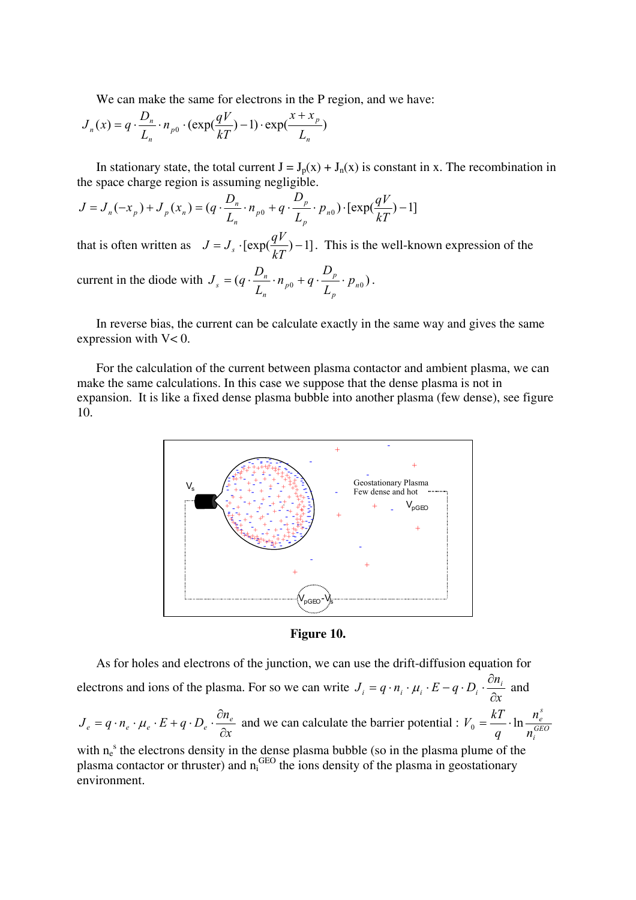We can make the same for electrons in the P region, and we have:

$$
J_n(x) = q \cdot \frac{D_n}{L_n} \cdot n_{p0} \cdot (\exp(\frac{qV}{kT}) - 1) \cdot \exp(\frac{x + x_p}{L_n})
$$

In stationary state, the total current  $J = J_p(x) + J_n(x)$  is constant in x. The recombination in the space charge region is assuming negligible.

$$
J = J_n(-x_p) + J_p(x_n) = (q \cdot \frac{D_n}{L_n} \cdot n_{p0} + q \cdot \frac{D_p}{L_p} \cdot p_{n0}) \cdot [\exp(\frac{qV}{kT}) - 1]
$$

that is often written as  $J = J_s \cdot [\exp(\frac{qV}{kT}) - 1]$ . This is the well-known expression of the current in the diode with  $J_s = (q \cdot \frac{B_n}{I} \cdot n_{p0} + q \cdot \frac{p}{I} \cdot p_{n0})$ *p p p n*  $\sigma_s = (q \cdot \frac{D_n}{L_n} \cdot n_{p0} + q \cdot \frac{D_p}{L_n} \cdot p)$ *D*  $J_s = (q \cdot \frac{D_n}{L_n} \cdot n_{p0} + q \cdot \frac{D_p}{L_n} \cdot p_{n0}).$ 

In reverse bias, the current can be calculate exactly in the same way and gives the same expression with V< 0.

For the calculation of the current between plasma contactor and ambient plasma, we can make the same calculations. In this case we suppose that the dense plasma is not in expansion. It is like a fixed dense plasma bubble into another plasma (few dense), see figure 10.



**Figure 10.** 

As for holes and electrons of the junction, we can use the drift-diffusion equation for electrons and ions of the plasma. For so we can write *x*  $J_i = q \cdot n_i \cdot \mu_i \cdot E - q \cdot D_i \cdot \frac{\partial n_i}{\partial \tau_i}$ *i*  $-q \cdot n_i \cdot \mu_i \cdot E - q \cdot D_i \cdot \frac{\partial}{\partial x_i}$  $= q \cdot n_i \cdot \mu_i \cdot E - q \cdot D_i \cdot \frac{\partial n_i}{\partial \tau}$  and

$$
J_e = q \cdot n_e \cdot \mu_e \cdot E + q \cdot D_e \cdot \frac{\partial n_e}{\partial x}
$$
 and we can calculate the barrier potential :  $V_0 = \frac{kT}{q} \cdot \ln \frac{n_e^s}{n_i^{GEO}}$ 

with  $n_e^s$  the electrons density in the dense plasma bubble (so in the plasma plume of the plasma contactor or thruster) and  $n_i^{GEO}$  the ions density of the plasma in geostationary environment.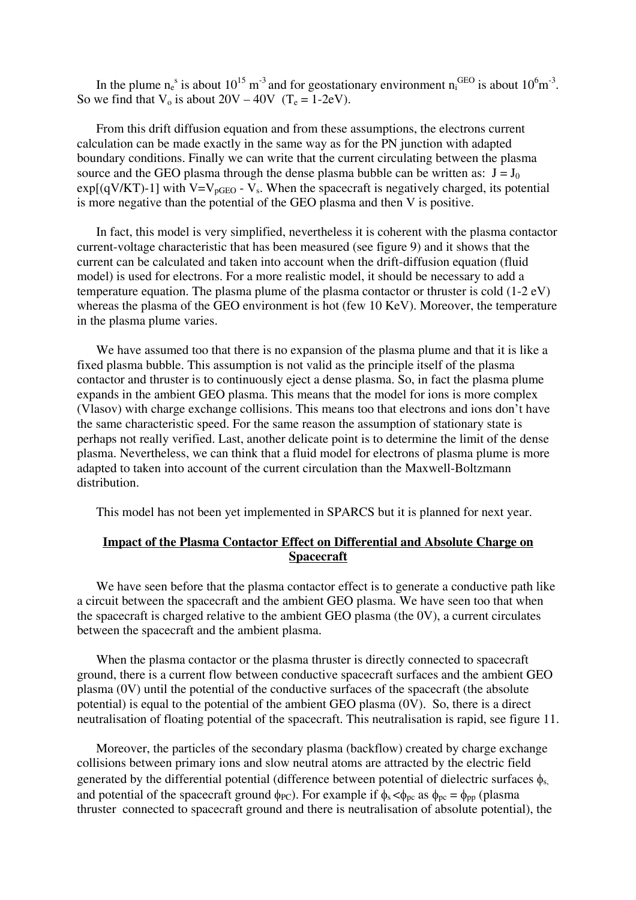In the plume  $n_e^s$  is about  $10^{15}$  m<sup>-3</sup> and for geostationary environment  $n_i^{\text{GEO}}$  is about  $10^6$ m<sup>-3</sup>. So we find that  $V_0$  is about  $20V - 40V$  (T<sub>e</sub> = 1-2eV).

From this drift diffusion equation and from these assumptions, the electrons current calculation can be made exactly in the same way as for the PN junction with adapted boundary conditions. Finally we can write that the current circulating between the plasma source and the GEO plasma through the dense plasma bubble can be written as:  $J = J_0$  $exp[(qV/KT)-1]$  with  $V=V_{pGEO} - V_s$ . When the spacecraft is negatively charged, its potential is more negative than the potential of the GEO plasma and then V is positive.

In fact, this model is very simplified, nevertheless it is coherent with the plasma contactor current-voltage characteristic that has been measured (see figure 9) and it shows that the current can be calculated and taken into account when the drift-diffusion equation (fluid model) is used for electrons. For a more realistic model, it should be necessary to add a temperature equation. The plasma plume of the plasma contactor or thruster is cold (1-2 eV) whereas the plasma of the GEO environment is hot (few 10 KeV). Moreover, the temperature in the plasma plume varies.

We have assumed too that there is no expansion of the plasma plume and that it is like a fixed plasma bubble. This assumption is not valid as the principle itself of the plasma contactor and thruster is to continuously eject a dense plasma. So, in fact the plasma plume expands in the ambient GEO plasma. This means that the model for ions is more complex (Vlasov) with charge exchange collisions. This means too that electrons and ions don't have the same characteristic speed. For the same reason the assumption of stationary state is perhaps not really verified. Last, another delicate point is to determine the limit of the dense plasma. Nevertheless, we can think that a fluid model for electrons of plasma plume is more adapted to taken into account of the current circulation than the Maxwell-Boltzmann distribution.

This model has not been yet implemented in SPARCS but it is planned for next year.

# **Impact of the Plasma Contactor Effect on Differential and Absolute Charge on Spacecraft**

We have seen before that the plasma contactor effect is to generate a conductive path like a circuit between the spacecraft and the ambient GEO plasma. We have seen too that when the spacecraft is charged relative to the ambient GEO plasma (the 0V), a current circulates between the spacecraft and the ambient plasma.

When the plasma contactor or the plasma thruster is directly connected to spacecraft ground, there is a current flow between conductive spacecraft surfaces and the ambient GEO plasma (0V) until the potential of the conductive surfaces of the spacecraft (the absolute potential) is equal to the potential of the ambient GEO plasma (0V). So, there is a direct neutralisation of floating potential of the spacecraft. This neutralisation is rapid, see figure 11.

Moreover, the particles of the secondary plasma (backflow) created by charge exchange collisions between primary ions and slow neutral atoms are attracted by the electric field generated by the differential potential (difference between potential of dielectric surfaces  $\phi_{s}$ , and potential of the spacecraft ground  $\phi_{PC}$ ). For example if  $\phi_s < \phi_{pc}$  as  $\phi_{pc} = \phi_{pp}$  (plasma thruster connected to spacecraft ground and there is neutralisation of absolute potential), the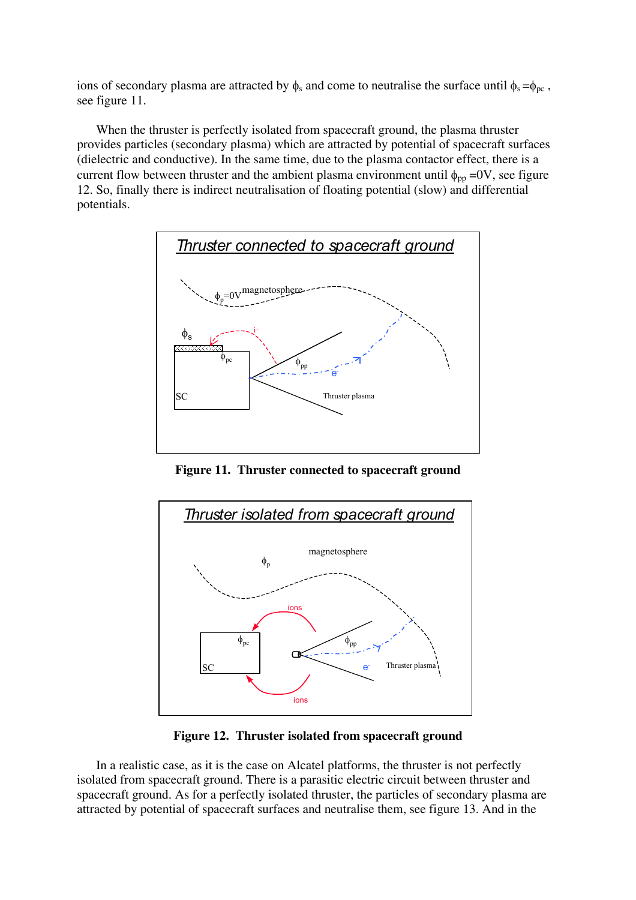ions of secondary plasma are attracted by  $\phi_s$  and come to neutralise the surface until  $\phi_s = \phi_{\text{pc}}$ , see figure 11.

When the thruster is perfectly isolated from spacecraft ground, the plasma thruster provides particles (secondary plasma) which are attracted by potential of spacecraft surfaces (dielectric and conductive). In the same time, due to the plasma contactor effect, there is a current flow between thruster and the ambient plasma environment until  $\phi_{pp}$  =0V, see figure 12. So, finally there is indirect neutralisation of floating potential (slow) and differential potentials.



**Figure 11. Thruster connected to spacecraft ground** 



**Figure 12. Thruster isolated from spacecraft ground** 

In a realistic case, as it is the case on Alcatel platforms, the thruster is not perfectly isolated from spacecraft ground. There is a parasitic electric circuit between thruster and spacecraft ground. As for a perfectly isolated thruster, the particles of secondary plasma are attracted by potential of spacecraft surfaces and neutralise them, see figure 13. And in the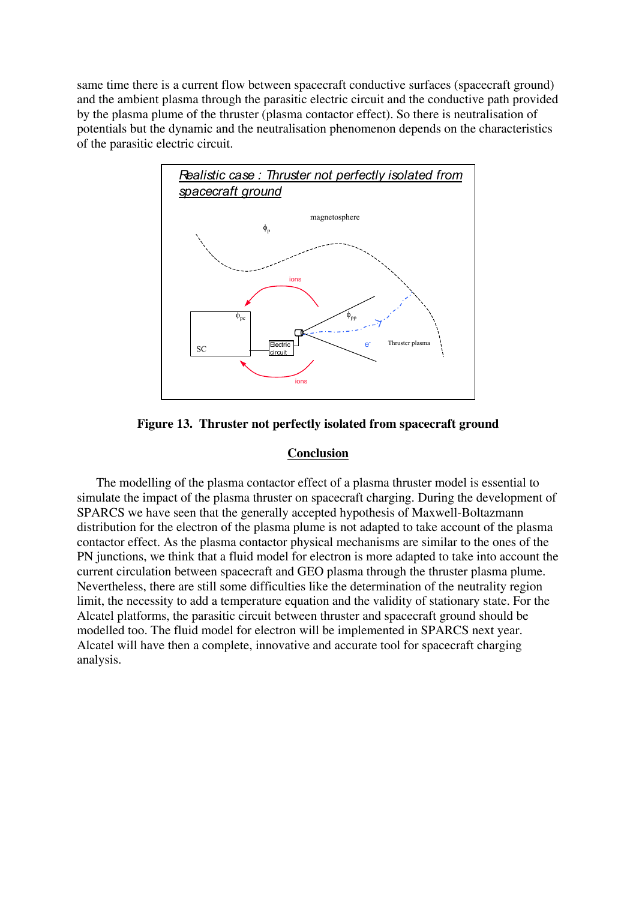same time there is a current flow between spacecraft conductive surfaces (spacecraft ground) and the ambient plasma through the parasitic electric circuit and the conductive path provided by the plasma plume of the thruster (plasma contactor effect). So there is neutralisation of potentials but the dynamic and the neutralisation phenomenon depends on the characteristics of the parasitic electric circuit.



**Figure 13. Thruster not perfectly isolated from spacecraft ground** 

# **Conclusion**

The modelling of the plasma contactor effect of a plasma thruster model is essential to simulate the impact of the plasma thruster on spacecraft charging. During the development of SPARCS we have seen that the generally accepted hypothesis of Maxwell-Boltazmann distribution for the electron of the plasma plume is not adapted to take account of the plasma contactor effect. As the plasma contactor physical mechanisms are similar to the ones of the PN junctions, we think that a fluid model for electron is more adapted to take into account the current circulation between spacecraft and GEO plasma through the thruster plasma plume. Nevertheless, there are still some difficulties like the determination of the neutrality region limit, the necessity to add a temperature equation and the validity of stationary state. For the Alcatel platforms, the parasitic circuit between thruster and spacecraft ground should be modelled too. The fluid model for electron will be implemented in SPARCS next year. Alcatel will have then a complete, innovative and accurate tool for spacecraft charging analysis.